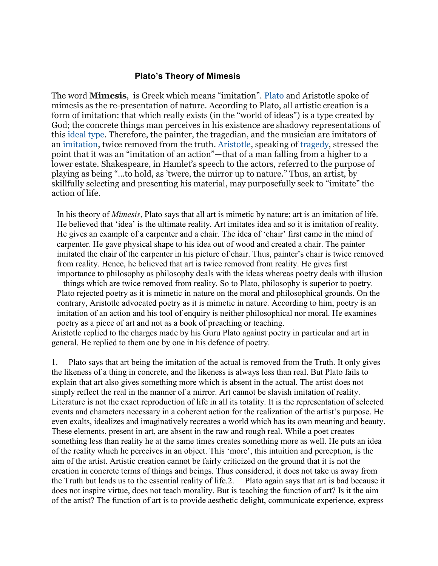## Plato's Theory of Mimesis

The word Mimesis, is Greek which means "imitation". Plato and Aristotle spoke of mimesis as the re-presentation of nature. According to Plato, all artistic creation is a form of imitation: that which really exists (in the "world of ideas") is a type created by God; the concrete things man perceives in his existence are shadowy representations of this ideal type. Therefore, the painter, the tragedian, and the musician are imitators of an imitation, twice removed from the truth. Aristotle, speaking of tragedy, stressed the point that it was an "imitation of an action"—that of a man falling from a higher to a lower estate. Shakespeare, in Hamlet's speech to the actors, referred to the purpose of playing as being "…to hold, as 'twere, the mirror up to nature." Thus, an artist, by skillfully selecting and presenting his material, may purposefully seek to "imitate" the action of life.

In his theory of Mimesis, Plato says that all art is mimetic by nature; art is an imitation of life. He believed that 'idea' is the ultimate reality. Art imitates idea and so it is imitation of reality. He gives an example of a carpenter and a chair. The idea of 'chair' first came in the mind of carpenter. He gave physical shape to his idea out of wood and created a chair. The painter imitated the chair of the carpenter in his picture of chair. Thus, painter's chair is twice removed from reality. Hence, he believed that art is twice removed from reality. He gives first importance to philosophy as philosophy deals with the ideas whereas poetry deals with illusion – things which are twice removed from reality. So to Plato, philosophy is superior to poetry. Plato rejected poetry as it is mimetic in nature on the moral and philosophical grounds. On the contrary, Aristotle advocated poetry as it is mimetic in nature. According to him, poetry is an imitation of an action and his tool of enquiry is neither philosophical nor moral. He examines poetry as a piece of art and not as a book of preaching or teaching.

Aristotle replied to the charges made by his Guru Plato against poetry in particular and art in general. He replied to them one by one in his defence of poetry.

1. Plato says that art being the imitation of the actual is removed from the Truth. It only gives the likeness of a thing in concrete, and the likeness is always less than real. But Plato fails to explain that art also gives something more which is absent in the actual. The artist does not simply reflect the real in the manner of a mirror. Art cannot be slavish imitation of reality. Literature is not the exact reproduction of life in all its totality. It is the representation of selected events and characters necessary in a coherent action for the realization of the artist's purpose. He even exalts, idealizes and imaginatively recreates a world which has its own meaning and beauty. These elements, present in art, are absent in the raw and rough real. While a poet creates something less than reality he at the same times creates something more as well. He puts an idea of the reality which he perceives in an object. This 'more', this intuition and perception, is the aim of the artist. Artistic creation cannot be fairly criticized on the ground that it is not the creation in concrete terms of things and beings. Thus considered, it does not take us away from the Truth but leads us to the essential reality of life.2. Plato again says that art is bad because it does not inspire virtue, does not teach morality. But is teaching the function of art? Is it the aim of the artist? The function of art is to provide aesthetic delight, communicate experience, express